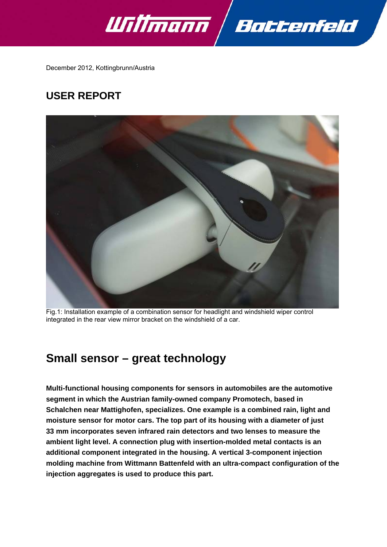



December 2012, Kottingbrunn/Austria

# **USER REPORT**



Fig.1: Installation example of a combination sensor for headlight and windshield wiper control integrated in the rear view mirror bracket on the windshield of a car.

# **Small sensor – great technology**

**Multi-functional housing components for sensors in automobiles are the automotive segment in which the Austrian family-owned company Promotech, based in Schalchen near Mattighofen, specializes. One example is a combined rain, light and moisture sensor for motor cars. The top part of its housing with a diameter of just 33 mm incorporates seven infrared rain detectors and two lenses to measure the ambient light level. A connection plug with insertion-molded metal contacts is an additional component integrated in the housing. A vertical 3-component injection molding machine from Wittmann Battenfeld with an ultra-compact configuration of the injection aggregates is used to produce this part.**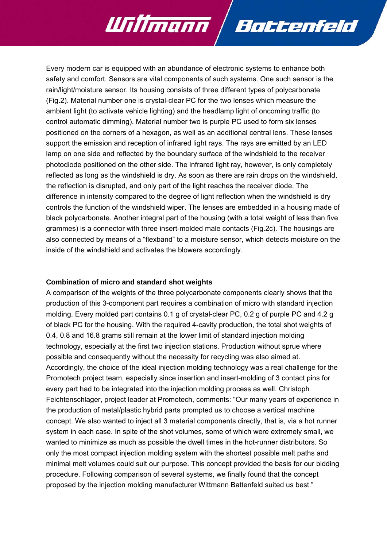Every modern car is equipped with an abundance of electronic systems to enhance both safety and comfort. Sensors are vital components of such systems. One such sensor is the rain/light/moisture sensor. Its housing consists of three different types of polycarbonate (Fig.2). Material number one is crystal-clear PC for the two lenses which measure the ambient light (to activate vehicle lighting) and the headlamp light of oncoming traffic (to control automatic dimming). Material number two is purple PC used to form six lenses positioned on the corners of a hexagon, as well as an additional central lens. These lenses support the emission and reception of infrared light rays. The rays are emitted by an LED lamp on one side and reflected by the boundary surface of the windshield to the receiver photodiode positioned on the other side. The infrared light ray, however, is only completely reflected as long as the windshield is dry. As soon as there are rain drops on the windshield, the reflection is disrupted, and only part of the light reaches the receiver diode. The difference in intensity compared to the degree of light reflection when the windshield is dry controls the function of the windshield wiper. The lenses are embedded in a housing made of black polycarbonate. Another integral part of the housing (with a total weight of less than five grammes) is a connector with three insert-molded male contacts (Fig.2c). The housings are also connected by means of a "flexband" to a moisture sensor, which detects moisture on the inside of the windshield and activates the blowers accordingly.

Battenfeld

Willmann /

### **Combination of micro and standard shot weights**

A comparison of the weights of the three polycarbonate components clearly shows that the production of this 3-component part requires a combination of micro with standard injection molding. Every molded part contains 0.1 g of crystal-clear PC, 0.2 g of purple PC and 4.2 g of black PC for the housing. With the required 4-cavity production, the total shot weights of 0.4, 0.8 and 16.8 grams still remain at the lower limit of standard injection molding technology, especially at the first two injection stations. Production without sprue where possible and consequently without the necessity for recycling was also aimed at. Accordingly, the choice of the ideal injection molding technology was a real challenge for the Promotech project team, especially since insertion and insert-molding of 3 contact pins for every part had to be integrated into the injection molding process as well. Christoph Feichtenschlager, project leader at Promotech, comments: "Our many years of experience in the production of metal/plastic hybrid parts prompted us to choose a vertical machine concept. We also wanted to inject all 3 material components directly, that is, via a hot runner system in each case. In spite of the shot volumes, some of which were extremely small, we wanted to minimize as much as possible the dwell times in the hot-runner distributors. So only the most compact injection molding system with the shortest possible melt paths and minimal melt volumes could suit our purpose. This concept provided the basis for our bidding procedure. Following comparison of several systems, we finally found that the concept proposed by the injection molding manufacturer Wittmann Battenfeld suited us best."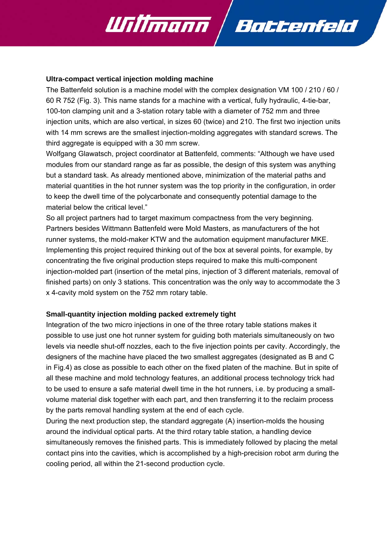

#### **Ultra-compact vertical injection molding machine**

The Battenfeld solution is a machine model with the complex designation VM 100 / 210 / 60 / 60 R 752 (Fig. 3). This name stands for a machine with a vertical, fully hydraulic, 4-tie-bar, 100-ton clamping unit and a 3-station rotary table with a diameter of 752 mm and three injection units, which are also vertical, in sizes 60 (twice) and 210. The first two injection units with 14 mm screws are the smallest injection-molding aggregates with standard screws. The third aggregate is equipped with a 30 mm screw.

Wolfgang Glawatsch, project coordinator at Battenfeld, comments: "Although we have used modules from our standard range as far as possible, the design of this system was anything but a standard task. As already mentioned above, minimization of the material paths and material quantities in the hot runner system was the top priority in the configuration, in order to keep the dwell time of the polycarbonate and consequently potential damage to the material below the critical level."

So all project partners had to target maximum compactness from the very beginning. Partners besides Wittmann Battenfeld were Mold Masters, as manufacturers of the hot runner systems, the mold-maker KTW and the automation equipment manufacturer MKE. Implementing this project required thinking out of the box at several points, for example, by concentrating the five original production steps required to make this multi-component injection-molded part (insertion of the metal pins, injection of 3 different materials, removal of finished parts) on only 3 stations. This concentration was the only way to accommodate the 3 x 4-cavity mold system on the 752 mm rotary table.

### **Small-quantity injection molding packed extremely tight**

Integration of the two micro injections in one of the three rotary table stations makes it possible to use just one hot runner system for guiding both materials simultaneously on two levels via needle shut-off nozzles, each to the five injection points per cavity. Accordingly, the designers of the machine have placed the two smallest aggregates (designated as B and C in Fig.4) as close as possible to each other on the fixed platen of the machine. But in spite of all these machine and mold technology features, an additional process technology trick had to be used to ensure a safe material dwell time in the hot runners, i.e. by producing a smallvolume material disk together with each part, and then transferring it to the reclaim process by the parts removal handling system at the end of each cycle.

During the next production step, the standard aggregate (A) insertion-molds the housing around the individual optical parts. At the third rotary table station, a handling device simultaneously removes the finished parts. This is immediately followed by placing the metal contact pins into the cavities, which is accomplished by a high-precision robot arm during the cooling period, all within the 21-second production cycle.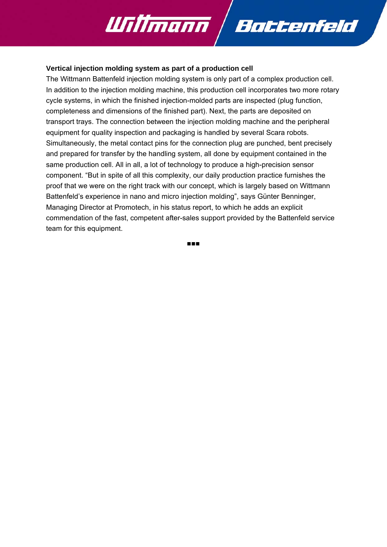

### **Vertical injection molding system as part of a production cell**

The Wittmann Battenfeld injection molding system is only part of a complex production cell. In addition to the injection molding machine, this production cell incorporates two more rotary cycle systems, in which the finished injection-molded parts are inspected (plug function, completeness and dimensions of the finished part). Next, the parts are deposited on transport trays. The connection between the injection molding machine and the peripheral equipment for quality inspection and packaging is handled by several Scara robots. Simultaneously, the metal contact pins for the connection plug are punched, bent precisely and prepared for transfer by the handling system, all done by equipment contained in the same production cell. All in all, a lot of technology to produce a high-precision sensor component. "But in spite of all this complexity, our daily production practice furnishes the proof that we were on the right track with our concept, which is largely based on Wittmann Battenfeld's experience in nano and micro injection molding", says Günter Benninger, Managing Director at Promotech, in his status report, to which he adds an explicit commendation of the fast, competent after-sales support provided by the Battenfeld service team for this equipment.

■■■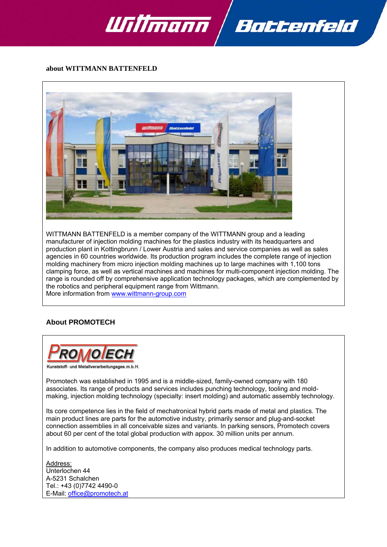



#### **about WITTMANN BATTENFELD**



WITTMANN BATTENFELD is a member company of the WITTMANN group and a leading manufacturer of injection molding machines for the plastics industry with its headquarters and production plant in Kottingbrunn / Lower Austria and sales and service companies as well as sales agencies in 60 countries worldwide. Its production program includes the complete range of injection molding machinery from micro injection molding machines up to large machines with 1,100 tons clamping force, as well as vertical machines and machines for multi-component injection molding. The range is rounded off by comprehensive application technology packages, which are complemented by the robotics and peripheral equipment range from Wittmann. More information from www.wittmann-group.com

### **About PROMOTECH**



Promotech was established in 1995 and is a middle-sized, family-owned company with 180 associates. Its range of products and services includes punching technology, tooling and moldmaking, injection molding technology (specialty: insert molding) and automatic assembly technology.

Its core competence lies in the field of mechatronical hybrid parts made of metal and plastics. The main product lines are parts for the automotive industry, primarily sensor and plug-and-socket connection assemblies in all conceivable sizes and variants. In parking sensors, Promotech covers about 60 per cent of the total global production with appox. 30 million units per annum.

In addition to automotive components, the company also produces medical technology parts.

Address: Unterlochen 44 A-5231 Schalchen Tel.: +43 (0)7742 4490-0 E-Mail: office@promotech.at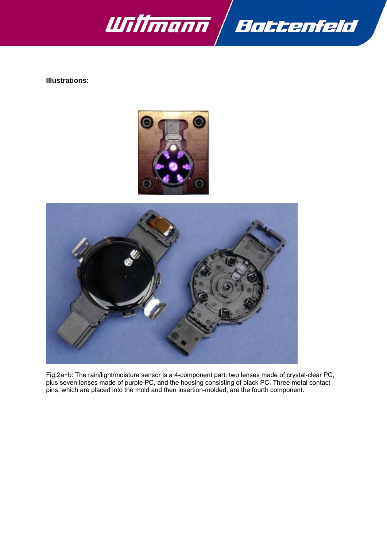

**Illustrations:** 





Fig.2a+b: The rain/light/moisture sensor is a 4-component part: two lenses made of crystal-clear PC, plus seven lenses made of purple PC, and the housing consisting of black PC. Three metal contact pins, which are placed into the mold and then insertion-molded, are the fourth component.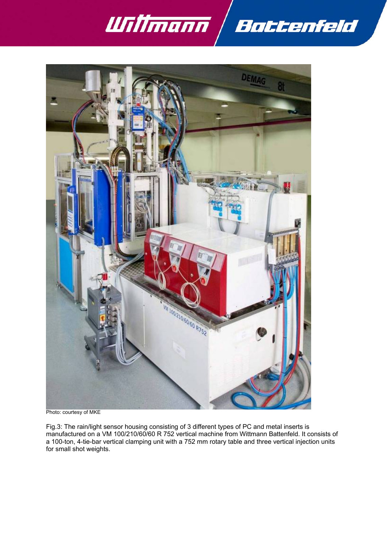



Photo: courtesy of MKE

Fig.3: The rain/light sensor housing consisting of 3 different types of PC and metal inserts is manufactured on a VM 100/210/60/60 R 752 vertical machine from Wittmann Battenfeld. It consists of a 100-ton, 4-tie-bar vertical clamping unit with a 752 mm rotary table and three vertical injection units for small shot weights.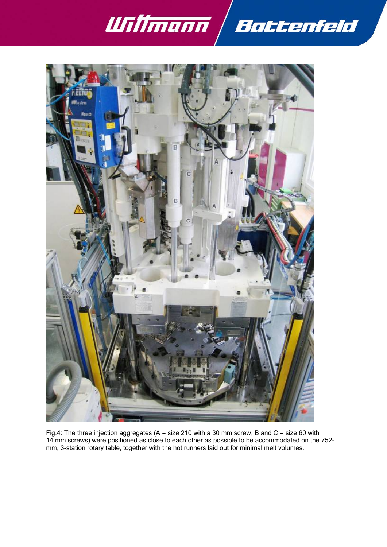



Fig.4: The three injection aggregates (A = size 210 with a 30 mm screw, B and C = size 60 with 14 mm screws) were positioned as close to each other as possible to be accommodated on the 752 mm, 3-station rotary table, together with the hot runners laid out for minimal melt volumes.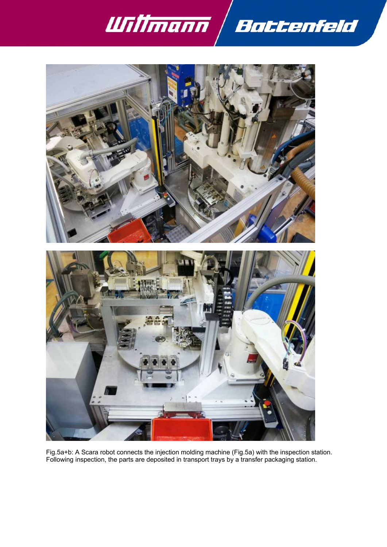



Fig.5a+b: A Scara robot connects the injection molding machine (Fig.5a) with the inspection station. Following inspection, the parts are deposited in transport trays by a transfer packaging station.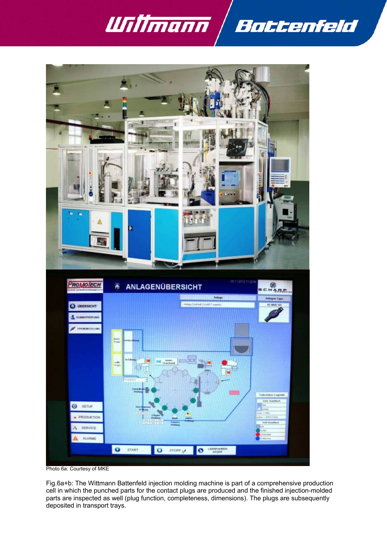

l



Photo 6a: Courtesy of MKE

Fig.6a+b: The Wittmann Battenfeld injection molding machine is part of a comprehensive production cell in which the punched parts for the contact plugs are produced and the finished injection-molded parts are inspected as well (plug function, completeness, dimensions). The plugs are subsequently deposited in transport trays.